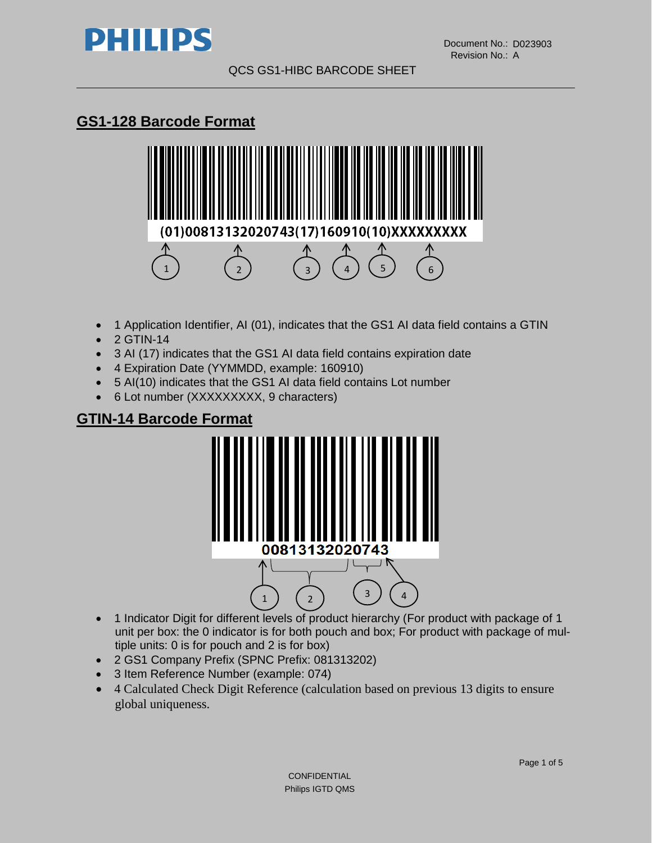

# **GS1-128 Barcode Format**



- 1 Application Identifier, AI (01), indicates that the GS1 AI data field contains a GTIN
- 2 GTIN-14
- 3 AI (17) indicates that the GS1 AI data field contains expiration date
- 4 Expiration Date (YYMMDD, example: 160910)
- 5 AI(10) indicates that the GS1 AI data field contains Lot number
- 6 Lot number (XXXXXXXXX, 9 characters)

## **GTIN-14 Barcode Format**



- 1 Indicator Digit for different levels of product hierarchy (For product with package of 1 unit per box: the 0 indicator is for both pouch and box; For product with package of multiple units: 0 is for pouch and 2 is for box)
- 2 GS1 Company Prefix (SPNC Prefix: 081313202)
- 3 Item Reference Number (example: 074)
- 4 Calculated Check Digit Reference (calculation based on previous 13 digits to ensure global uniqueness.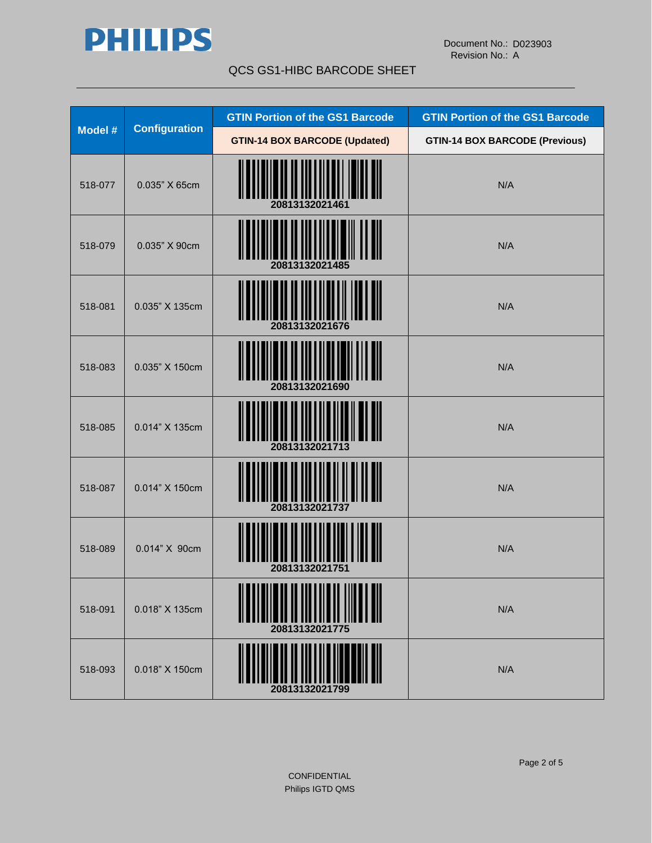

|         |                                                                         | <b>GTIN Portion of the GS1 Barcode</b> | <b>GTIN Portion of the GS1 Barcode</b> |
|---------|-------------------------------------------------------------------------|----------------------------------------|----------------------------------------|
|         | <b>Configuration</b><br>Model #<br><b>GTIN-14 BOX BARCODE (Updated)</b> |                                        | <b>GTIN-14 BOX BARCODE (Previous)</b>  |
| 518-077 | 0.035" X 65cm                                                           | 20813132021461                         | N/A                                    |
| 518-079 | 0.035" X 90cm                                                           |                                        | N/A                                    |
| 518-081 | 0.035" X 135cm                                                          | 20813132021676                         | N/A                                    |
| 518-083 | 0.035" X 150cm                                                          | 20813132021690                         | N/A                                    |
| 518-085 | 0.014" X 135cm                                                          | 20813132021713                         | N/A                                    |
| 518-087 | 0.014" X 150cm                                                          | 20813132021737                         | N/A                                    |
| 518-089 | 0.014" X 90cm                                                           | 20813132021751                         | N/A                                    |
| 518-091 | 0.018" X 135cm                                                          | 20813132021775                         | N/A                                    |
| 518-093 | 0.018" X 150cm                                                          | 20813132021799                         | N/A                                    |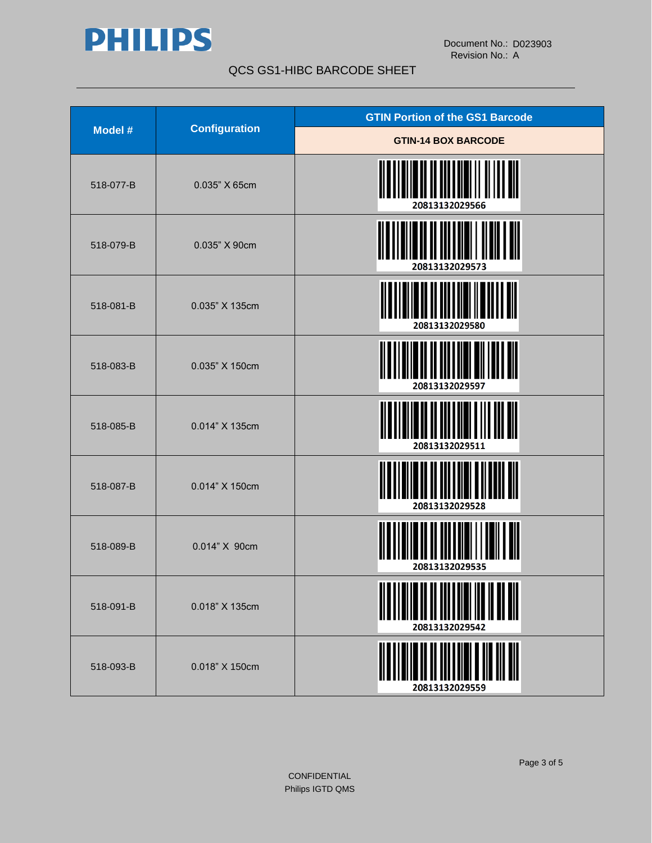

|           | <b>Configuration</b> | <b>GTIN Portion of the GS1 Barcode</b> |  |
|-----------|----------------------|----------------------------------------|--|
| Model #   |                      | <b>GTIN-14 BOX BARCODE</b>             |  |
| 518-077-B | 0.035" X 65cm        | ║<br>20813132029566                    |  |
| 518-079-B | 0.035" X 90cm        | 20813132029573                         |  |
| 518-081-B | 0.035" X 135cm       | 20813132029580                         |  |
| 518-083-B | 0.035" X 150cm       | 20813132029597                         |  |
| 518-085-B | 0.014" X 135cm       | 20813132029511                         |  |
| 518-087-B | 0.014" X 150cm       | 20813132029528                         |  |
| 518-089-B | 0.014" X 90cm        | 20813132029535                         |  |
| 518-091-B | 0.018" X 135cm       | 20813132029542                         |  |
| 518-093-B | 0.018" X 150cm       | 20813132029559                         |  |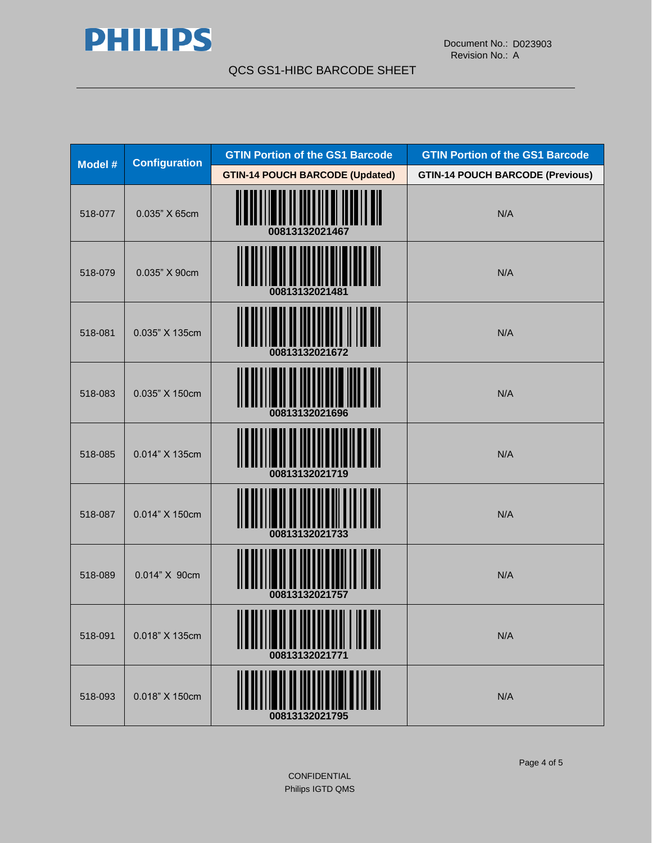

| Model # | <b>Configuration</b> | <b>GTIN Portion of the GS1 Barcode</b>          | <b>GTIN Portion of the GS1 Barcode</b>  |
|---------|----------------------|-------------------------------------------------|-----------------------------------------|
|         |                      | <b>GTIN-14 POUCH BARCODE (Updated)</b>          | <b>GTIN-14 POUCH BARCODE (Previous)</b> |
| 518-077 | 0.035" X 65cm        | 00813132021467                                  | N/A                                     |
| 518-079 | 0.035" X 90cm        |                                                 | N/A                                     |
| 518-081 | 0.035" X 135cm       | 00813132021672                                  | N/A                                     |
| 518-083 | 0.035" X 150cm       | 00813132021696                                  | N/A                                     |
| 518-085 | 0.014" X 135cm       | 00813132021719                                  | N/A                                     |
| 518-087 | 0.014" X 150cm       | 00813132021733                                  | N/A                                     |
| 518-089 | 0.014" X 90cm        | 00813132021757                                  | N/A                                     |
| 518-091 | 0.018" X 135cm       | ,,,,,,,,,,,,,,,,,,,,,,,,,,,,,<br>00813132021771 | N/A                                     |
| 518-093 | 0.018" X 150cm       |                                                 | N/A                                     |